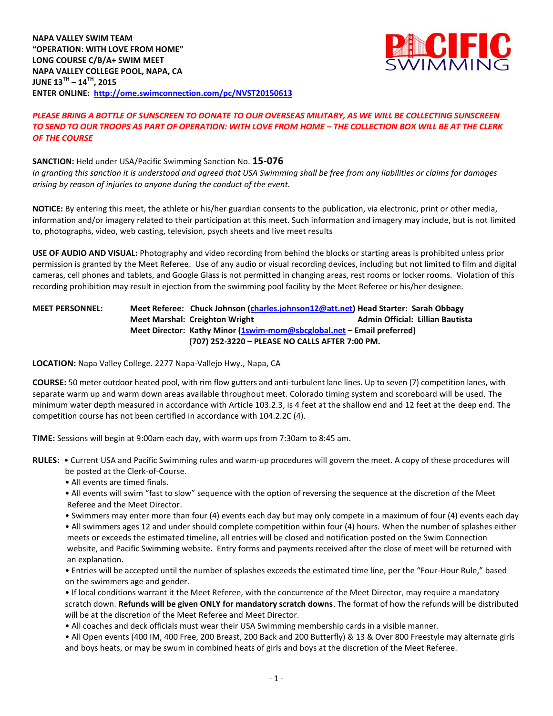

## *PLEASE BRING A BOTTLE OF SUNSCREEN TO DONATE TO OUR OVERSEAS MILITARY, AS WE WILL BE COLLECTING SUNSCREEN TO SEND TO OUR TROOPS AS PART OF OPERATION: WITH LOVE FROM HOME – THE COLLECTION BOX WILL BE AT THE CLERK OF THE COURSE*

# **SANCTION:** Held under USA/Pacific Swimming Sanction No. **15-076** *In granting this sanction it is understood and agreed that USA Swimming shall be free from any liabilities or claims for damages*

*arising by reason of injuries to anyone during the conduct of the event.*

**NOTICE:** By entering this meet, the athlete or his/her guardian consents to the publication, via electronic, print or other media, information and/or imagery related to their participation at this meet. Such information and imagery may include, but is not limited to, photographs, video, web casting, television, psych sheets and live meet results

**USE OF AUDIO AND VISUAL:** Photography and video recording from behind the blocks or starting areas is prohibited unless prior permission is granted by the Meet Referee. Use of any audio or visual recording devices, including but not limited to film and digital cameras, cell phones and tablets, and Google Glass is not permitted in changing areas, rest rooms or locker rooms. Violation of this recording prohibition may result in ejection from the swimming pool facility by the Meet Referee or his/her designee.

## **MEET PERSONNEL: Meet Referee: Chuck Johnson [\(charles.johnson12@att.net\)](mailto:charles.johnson12@att.net) Head Starter: Sarah Obbagy Meet Marshal: Creighton Wright Admin Official: Lillian Bautista Meet Director: Kathy Minor [\(1swim-mom@sbcglobal.net](mailto:1swim-mom@sbcglobal.net) – Email preferred) (707) 252-3220 – PLEASE NO CALLS AFTER 7:00 PM.**

# **LOCATION:** Napa Valley College. 2277 Napa-Vallejo Hwy., Napa, CA

**COURSE:** 50 meter outdoor heated pool, with rim flow gutters and anti-turbulent lane lines. Up to seven (7) competition lanes, with separate warm up and warm down areas available throughout meet. Colorado timing system and scoreboard will be used. The minimum water depth measured in accordance with Article 103.2.3, is 4 feet at the shallow end and 12 feet at the deep end. The competition course has not been certified in accordance with 104.2.2C (4).

**TIME:** Sessions will begin at 9:00am each day, with warm ups from 7:30am to 8:45 am.

- **RULES:** Current USA and Pacific Swimming rules and warm-up procedures will govern the meet. A copy of these procedures will be posted at the Clerk-of-Course.
	- All events are timed finals.
	- All events will swim "fast to slow" sequence with the option of reversing the sequence at the discretion of the Meet Referee and the Meet Director.
	- Swimmers may enter more than four (4) events each day but may only compete in a maximum of four (4) events each day
	- All swimmers ages 12 and under should complete competition within four (4) hours. When the number of splashes either meets or exceeds the estimated timeline, all entries will be closed and notification posted on the Swim Connection website, and Pacific Swimming website. Entry forms and payments received after the close of meet will be returned with an explanation.

• Entries will be accepted until the number of splashes exceeds the estimated time line, per the "Four-Hour Rule," based on the swimmers age and gender.

• If local conditions warrant it the Meet Referee, with the concurrence of the Meet Director, may require a mandatory scratch down. **Refunds will be given ONLY for mandatory scratch downs**. The format of how the refunds will be distributed will be at the discretion of the Meet Referee and Meet Director.

- All coaches and deck officials must wear their USA Swimming membership cards in a visible manner.
- All Open events (400 IM, 400 Free, 200 Breast, 200 Back and 200 Butterfly) & 13 & Over 800 Freestyle may alternate girls and boys heats, or may be swum in combined heats of girls and boys at the discretion of the Meet Referee.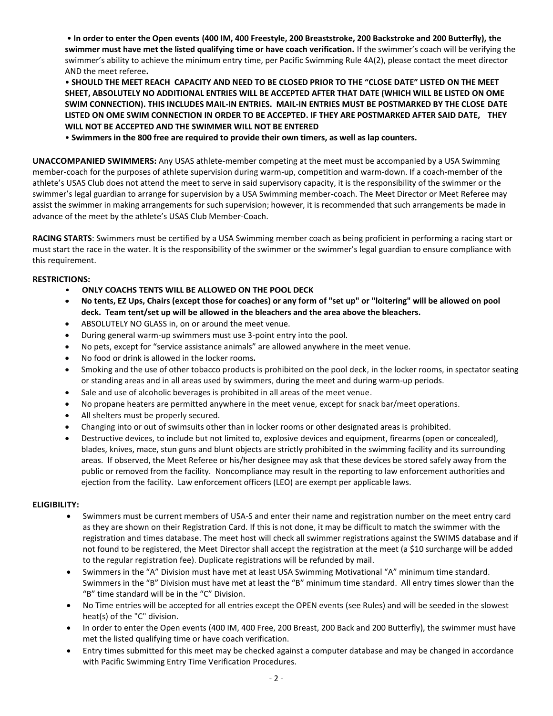• **In order to enter the Open events (400 IM, 400 Freestyle, 200 Breaststroke, 200 Backstroke and 200 Butterfly), the swimmer must have met the listed qualifying time or have coach verification.** If the swimmer's coach will be verifying the swimmer's ability to achieve the minimum entry time, per Pacific Swimming Rule 4A(2), please contact the meet director AND the meet referee**.**

• **SHOULD THE MEET REACH CAPACITY AND NEED TO BE CLOSED PRIOR TO THE "CLOSE DATE" LISTED ON THE MEET SHEET, ABSOLUTELY NO ADDITIONAL ENTRIES WILL BE ACCEPTED AFTER THAT DATE (WHICH WILL BE LISTED ON OME SWIM CONNECTION). THIS INCLUDES MAIL-IN ENTRIES. MAIL-IN ENTRIES MUST BE POSTMARKED BY THE CLOSE DATE LISTED ON OME SWIM CONNECTION IN ORDER TO BE ACCEPTED. IF THEY ARE POSTMARKED AFTER SAID DATE, THEY WILL NOT BE ACCEPTED AND THE SWIMMER WILL NOT BE ENTERED**

• **Swimmers in the 800 free are required to provide their own timers, as well as lap counters.**

**UNACCOMPANIED SWIMMERS:** Any USAS athlete-member competing at the meet must be accompanied by a USA Swimming member-coach for the purposes of athlete supervision during warm-up, competition and warm-down. If a coach-member of the athlete's USAS Club does not attend the meet to serve in said supervisory capacity, it is the responsibility of the swimmer or the swimmer's legal guardian to arrange for supervision by a USA Swimming member-coach. The Meet Director or Meet Referee may assist the swimmer in making arrangements for such supervision; however, it is recommended that such arrangements be made in advance of the meet by the athlete's USAS Club Member-Coach.

**RACING STARTS**: Swimmers must be certified by a USA Swimming member coach as being proficient in performing a racing start or must start the race in the water. It is the responsibility of the swimmer or the swimmer's legal guardian to ensure compliance with this requirement.

### **RESTRICTIONS:**

- **ONLY COACHS TENTS WILL BE ALLOWED ON THE POOL DECK**
- **No tents, EZ Ups, Chairs (except those for coaches) or any form of "set up" or "loitering" will be allowed on pool deck. Team tent/set up will be allowed in the bleachers and the area above the bleachers.**
- ABSOLUTELY NO GLASS in, on or around the meet venue.
- During general warm-up swimmers must use 3-point entry into the pool.
- No pets, except for "service assistance animals" are allowed anywhere in the meet venue.
- No food or drink is allowed in the locker rooms**.**
- Smoking and the use of other tobacco products is prohibited on the pool deck, in the locker rooms, in spectator seating or standing areas and in all areas used by swimmers, during the meet and during warm-up periods.
- Sale and use of alcoholic beverages is prohibited in all areas of the meet venue.
- No propane heaters are permitted anywhere in the meet venue, except for snack bar/meet operations.
- All shelters must be properly secured.
- Changing into or out of swimsuits other than in locker rooms or other designated areas is prohibited.
- Destructive devices, to include but not limited to, explosive devices and equipment, firearms (open or concealed), blades, knives, mace, stun guns and blunt objects are strictly prohibited in the swimming facility and its surrounding areas. If observed, the Meet Referee or his/her designee may ask that these devices be stored safely away from the public or removed from the facility. Noncompliance may result in the reporting to law enforcement authorities and ejection from the facility. Law enforcement officers (LEO) are exempt per applicable laws.

### **ELIGIBILITY:**

- Swimmers must be current members of USA-S and enter their name and registration number on the meet entry card as they are shown on their Registration Card. If this is not done, it may be difficult to match the swimmer with the registration and times database. The meet host will check all swimmer registrations against the SWIMS database and if not found to be registered, the Meet Director shall accept the registration at the meet (a \$10 surcharge will be added to the regular registration fee). Duplicate registrations will be refunded by mail.
- Swimmers in the "A" Division must have met at least USA Swimming Motivational "A" minimum time standard. Swimmers in the "B" Division must have met at least the "B" minimum time standard. All entry times slower than the "B" time standard will be in the "C" Division.
- No Time entries will be accepted for all entries except the OPEN events (see Rules) and will be seeded in the slowest heat(s) of the "C" division.
- In order to enter the Open events (400 IM, 400 Free, 200 Breast, 200 Back and 200 Butterfly), the swimmer must have met the listed qualifying time or have coach verification.
- Entry times submitted for this meet may be checked against a computer database and may be changed in accordance with Pacific Swimming Entry Time Verification Procedures.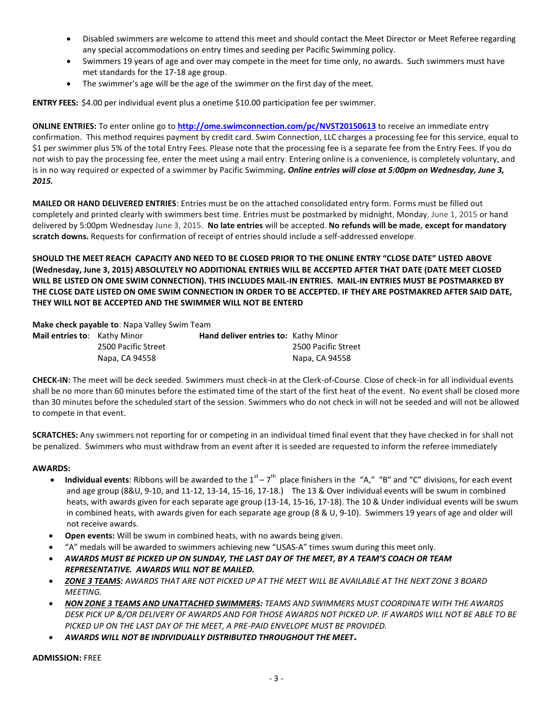- Disabled swimmers are welcome to attend this meet and should contact the Meet Director or Meet Referee regarding any special accommodations on entry times and seeding per Pacific Swimming policy.
- Swimmers 19 years of age and over may compete in the meet for time only, no awards. Such swimmers must have met standards for the 17-18 age group.
- The swimmer's age will be the age of the swimmer on the first day of the meet.

**ENTRY FEES:** \$4.00 per individual event plus a onetime \$10.00 participation fee per swimmer.

**ONLINE ENTRIES:** To enter online go to **<http://ome.swimconnection.com/pc/NVST20150613>** to receive an immediate entry confirmation. This method requires payment by credit card. Swim Connection, LLC charges a processing fee for this service, equal to \$1 per swimmer plus 5% of the total Entry Fees. Please note that the processing fee is a separate fee from the Entry Fees. If you do not wish to pay the processing fee, enter the meet using a mail entry. Entering online is a convenience, is completely voluntary, and is in no way required or expected of a swimmer by Pacific Swimming**.** *Online entries will close at 5:00pm on Wednesday, June 3, 2015.* 

**MAILED OR HAND DELIVERED ENTRIES**: Entries must be on the attached consolidated entry form. Forms must be filled out completely and printed clearly with swimmers best time. Entries must be postmarked by midnight, Monday, June 1, 2015 or hand delivered by 5:00pm Wednesday June 3, 2015. **No late entries** will be accepted. **No refunds will be made, except for mandatory scratch downs.** Requests for confirmation of receipt of entries should include a self-addressed envelope.

**SHOULD THE MEET REACH CAPACITY AND NEED TO BE CLOSED PRIOR TO THE ONLINE ENTRY "CLOSE DATE" LISTED ABOVE (Wednesday, June 3, 2015) ABSOLUTELY NO ADDITIONAL ENTRIES WILL BE ACCEPTED AFTER THAT DATE (DATE MEET CLOSED WILL BE LISTED ON OME SWIM CONNECTION). THIS INCLUDES MAIL-IN ENTRIES. MAIL-IN ENTRIES MUST BE POSTMARKED BY THE CLOSE DATE LISTED ON OME SWIM CONNECTION IN ORDER TO BE ACCEPTED. IF THEY ARE POSTMAKRED AFTER SAID DATE, THEY WILL NOT BE ACCEPTED AND THE SWIMMER WILL NOT BE ENTERD**

**Make check payable to**: Napa Valley Swim Team

| <b>Mail entries to:</b> Kathy Minor |                     | Hand deliver entries to: Kathy Minor |                     |
|-------------------------------------|---------------------|--------------------------------------|---------------------|
|                                     | 2500 Pacific Street |                                      | 2500 Pacific Street |
|                                     | Napa, CA 94558      |                                      | Napa, CA 94558      |

**CHECK-IN:** The meet will be deck seeded. Swimmers must check-in at the Clerk-of-Course. Close of check-in for all individual events shall be no more than 60 minutes before the estimated time of the start of the first heat of the event. No event shall be closed more than 30 minutes before the scheduled start of the session. Swimmers who do not check in will not be seeded and will not be allowed to compete in that event.

**SCRATCHES:** Any swimmers not reporting for or competing in an individual timed final event that they have checked in for shall not be penalized. Swimmers who must withdraw from an event after it is seeded are requested to inform the referee immediately

### **AWARDS:**

- Individual events: Ribbons will be awarded to the  $1^{st} 7^{th}$  place finishers in the "A," "B" and "C" divisions, for each event and age group (8&U, 9-10, and 11-12, 13-14, 15-16, 17-18.) The 13 & Over individual events will be swum in combined heats, with awards given for each separate age group (13-14, 15-16, 17-18). The 10 & Under individual events will be swum in combined heats, with awards given for each separate age group (8 & U, 9-10). Swimmers 19 years of age and older will not receive awards.
- **Open events:** Will be swum in combined heats, with no awards being given.
- "A" medals will be awarded to swimmers achieving new "USAS-A" times swum during this meet only.
- *AWARDS MUST BE PICKED UP ON SUNDAY, THE LAST DAY OF THE MEET, BY A TEAM'S COACH OR TEAM REPRESENTATIVE. AWARDS WILL NOT BE MAILED.*
- *ZONE 3 TEAMS: AWARDS THAT ARE NOT PICKED UP AT THE MEET WILL BE AVAILABLE AT THE NEXT ZONE 3 BOARD MEETING.*
- *NON ZONE 3 TEAMS AND UNATTACHED SWIMMERS: TEAMS AND SWIMMERS MUST COORDINATE WITH THE AWARDS DESK PICK UP &/OR DELIVERY OF AWARDS AND FOR THOSE AWARDS NOT PICKED UP. IF AWARDS WILL NOT BE ABLE TO BE PICKED UP ON THE LAST DAY OF THE MEET, A PRE-PAID ENVELOPE MUST BE PROVIDED.*
- *AWARDS WILL NOT BE INDIVIDUALLY DISTRIBUTED THROUGHOUT THE MEET***.**

#### **ADMISSION:** FREE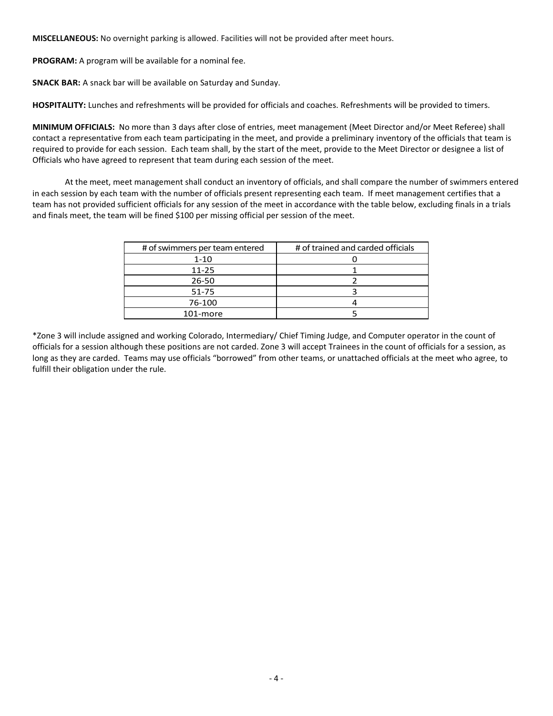**MISCELLANEOUS:** No overnight parking is allowed. Facilities will not be provided after meet hours.

**PROGRAM:** A program will be available for a nominal fee.

**SNACK BAR:** A snack bar will be available on Saturday and Sunday.

**HOSPITALITY:** Lunches and refreshments will be provided for officials and coaches. Refreshments will be provided to timers.

**MINIMUM OFFICIALS:** No more than 3 days after close of entries, meet management (Meet Director and/or Meet Referee) shall contact a representative from each team participating in the meet, and provide a preliminary inventory of the officials that team is required to provide for each session. Each team shall, by the start of the meet, provide to the Meet Director or designee a list of Officials who have agreed to represent that team during each session of the meet.

At the meet, meet management shall conduct an inventory of officials, and shall compare the number of swimmers entered in each session by each team with the number of officials present representing each team. If meet management certifies that a team has not provided sufficient officials for any session of the meet in accordance with the table below, excluding finals in a trials and finals meet, the team will be fined \$100 per missing official per session of the meet.

| # of swimmers per team entered | # of trained and carded officials |  |  |  |  |
|--------------------------------|-----------------------------------|--|--|--|--|
| 1-10                           |                                   |  |  |  |  |
| $11 - 25$                      |                                   |  |  |  |  |
| $26 - 50$                      |                                   |  |  |  |  |
| 51-75                          |                                   |  |  |  |  |
| 76-100                         |                                   |  |  |  |  |
| 101-more                       |                                   |  |  |  |  |

\*Zone 3 will include assigned and working Colorado, Intermediary/ Chief Timing Judge, and Computer operator in the count of officials for a session although these positions are not carded. Zone 3 will accept Trainees in the count of officials for a session, as long as they are carded. Teams may use officials "borrowed" from other teams, or unattached officials at the meet who agree, to fulfill their obligation under the rule.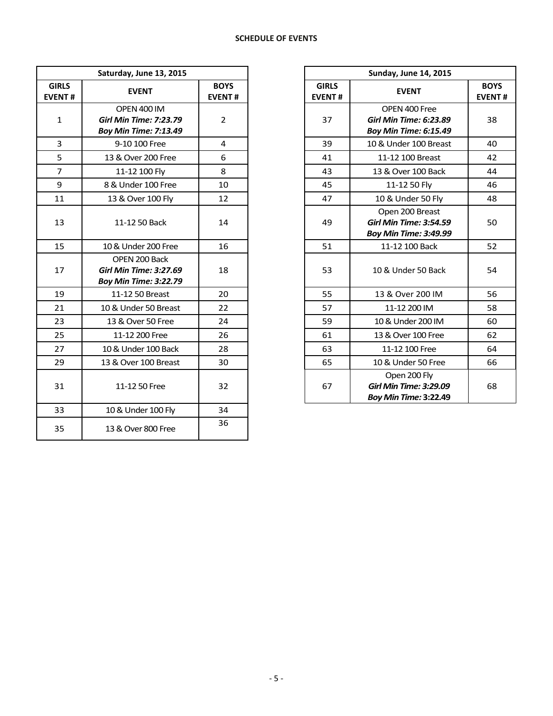|                               | Saturday, June 13, 2015                                                             |                              |                               | <b>Sunday, June 14, 2015</b>                                                     |                           |
|-------------------------------|-------------------------------------------------------------------------------------|------------------------------|-------------------------------|----------------------------------------------------------------------------------|---------------------------|
| <b>GIRLS</b><br><b>EVENT#</b> | <b>EVENT</b>                                                                        | <b>BOYS</b><br><b>EVENT#</b> | <b>GIRLS</b><br><b>EVENT#</b> | <b>EVENT</b>                                                                     | <b>BOY</b><br><b>EVEN</b> |
| $\mathbf{1}$                  | <b>OPEN 400 IM</b><br><b>Girl Min Time: 7:23.79</b><br><b>Boy Min Time: 7:13.49</b> | $\overline{2}$               | 37                            | OPEN 400 Free<br><b>Girl Min Time: 6:23.89</b><br><b>Boy Min Time: 6:15.49</b>   | 38                        |
| $\overline{3}$                | 9-10 100 Free                                                                       | 4                            | 39                            | 10 & Under 100 Breast                                                            | 40                        |
| 5                             | 13 & Over 200 Free                                                                  | 6                            | 41                            | 11-12 100 Breast                                                                 | 42                        |
| $\overline{7}$                | 11-12 100 Fly                                                                       | 8                            | 43                            | 13 & Over 100 Back                                                               | 44                        |
| 9                             | 8 & Under 100 Free                                                                  | 10                           | 45                            | 11-12 50 Fly                                                                     | 46                        |
| 11                            | 13 & Over 100 Fly                                                                   | 12                           | 47                            | 10 & Under 50 Fly                                                                | 48                        |
| 13                            | 11-12 50 Back                                                                       | 14                           | 49                            | Open 200 Breast<br><b>Girl Min Time: 3:54.59</b><br><b>Boy Min Time: 3:49.99</b> | 50                        |
| 15                            | 10 & Under 200 Free                                                                 | 16                           | 51                            | 11-12 100 Back                                                                   | 52                        |
| 17                            | OPEN 200 Back<br><b>Girl Min Time: 3:27.69</b><br><b>Boy Min Time: 3:22.79</b>      | 18                           | 53                            | 10 & Under 50 Back                                                               | 54                        |
| 19                            | 11-12 50 Breast                                                                     | 20                           | 55                            | 13 & Over 200 IM                                                                 | 56                        |
| 21                            | 10 & Under 50 Breast                                                                | 22                           | 57                            | 11-12 200 IM                                                                     | 58                        |
| 23                            | 13 & Over 50 Free                                                                   | 24                           | 59                            | 10 & Under 200 IM                                                                | 60                        |
| 25                            | 11-12 200 Free                                                                      | 26                           | 61                            | 13 & Over 100 Free                                                               | 62                        |
| 27                            | 10 & Under 100 Back                                                                 | 28                           | 63                            | 11-12 100 Free                                                                   | 64                        |
| 29                            | 13 & Over 100 Breast                                                                | 30                           | 65                            | 10 & Under 50 Free                                                               | 66                        |
| 31                            | 11-12 50 Free                                                                       | 32                           | 67                            | Open 200 Fly<br><b>Girl Min Time: 3:29.09</b><br><b>Boy Min Time: 3:22.49</b>    | 68                        |
| 33                            | 10 & Under 100 Fly                                                                  | 34                           |                               |                                                                                  |                           |
| 35                            | 13 & Over 800 Free                                                                  | 36                           |                               |                                                                                  |                           |

|                   | Saturday, June 13, 2015                                                             |                              |                               | <b>Sunday, June 14, 2015</b>                                                     |                              |  |  |
|-------------------|-------------------------------------------------------------------------------------|------------------------------|-------------------------------|----------------------------------------------------------------------------------|------------------------------|--|--|
| <b>RLS</b><br>NT# | <b>EVENT</b>                                                                        | <b>BOYS</b><br><b>EVENT#</b> | <b>GIRLS</b><br><b>EVENT#</b> | <b>EVENT</b>                                                                     | <b>BOYS</b><br><b>EVENT#</b> |  |  |
| 1                 | <b>OPEN 400 IM</b><br><b>Girl Min Time: 7:23.79</b><br><b>Boy Min Time: 7:13.49</b> | $\overline{2}$               | 37                            | OPEN 400 Free<br><b>Girl Min Time: 6:23.89</b><br><b>Boy Min Time: 6:15.49</b>   | 38                           |  |  |
| 3                 | 9-10 100 Free                                                                       | 4                            | 39                            | 10 & Under 100 Breast                                                            | 40                           |  |  |
| $\frac{5}{7}$     | 13 & Over 200 Free                                                                  | 6                            | 41                            | 11-12 100 Breast                                                                 | 42                           |  |  |
|                   | 11-12 100 Fly                                                                       | 8                            | 43                            | 13 & Over 100 Back                                                               | 44                           |  |  |
| $\overline{9}$    | 8 & Under 100 Free                                                                  | 10                           | 45                            | 11-12 50 Fly                                                                     | 46                           |  |  |
| $\overline{1}$    | 13 & Over 100 Fly                                                                   | 12                           | 47                            | 10 & Under 50 Fly                                                                | 48                           |  |  |
| L3                | 11-12 50 Back                                                                       | 14                           | 49                            | Open 200 Breast<br><b>Girl Min Time: 3:54.59</b><br><b>Boy Min Time: 3:49.99</b> | 50                           |  |  |
| L5                | 10 & Under 200 Free                                                                 | 16                           | 51                            | 11-12 100 Back                                                                   | 52                           |  |  |
| L7                | OPEN 200 Back<br><b>Girl Min Time: 3:27.69</b><br><b>Boy Min Time: 3:22.79</b>      | 18                           | 53                            | 10 & Under 50 Back                                                               | 54                           |  |  |
| L9                | 11-12 50 Breast                                                                     | 20                           | 55                            | 13 & Over 200 IM                                                                 | 56                           |  |  |
| 21                | 10 & Under 50 Breast                                                                | 22                           | 57                            | 11-12 200 IM                                                                     | 58                           |  |  |
| $^{23}$           | 13 & Over 50 Free                                                                   | 24                           | 59                            | 10 & Under 200 IM                                                                | 60                           |  |  |
| 25                | 11-12 200 Free                                                                      | 26                           | 61                            | 13 & Over 100 Free                                                               | 62                           |  |  |
| 27                | 10 & Under 100 Back                                                                 | 28                           | 63                            | 11-12 100 Free                                                                   | 64                           |  |  |
| 29                | 13 & Over 100 Breast                                                                | 30                           | 65                            | 10 & Under 50 Free                                                               | 66                           |  |  |
| 31                | 11-12 50 Free                                                                       | 32                           | 67                            | Open 200 Fly<br><b>Girl Min Time: 3:29.09</b><br><b>Boy Min Time: 3:22.49</b>    | 68                           |  |  |